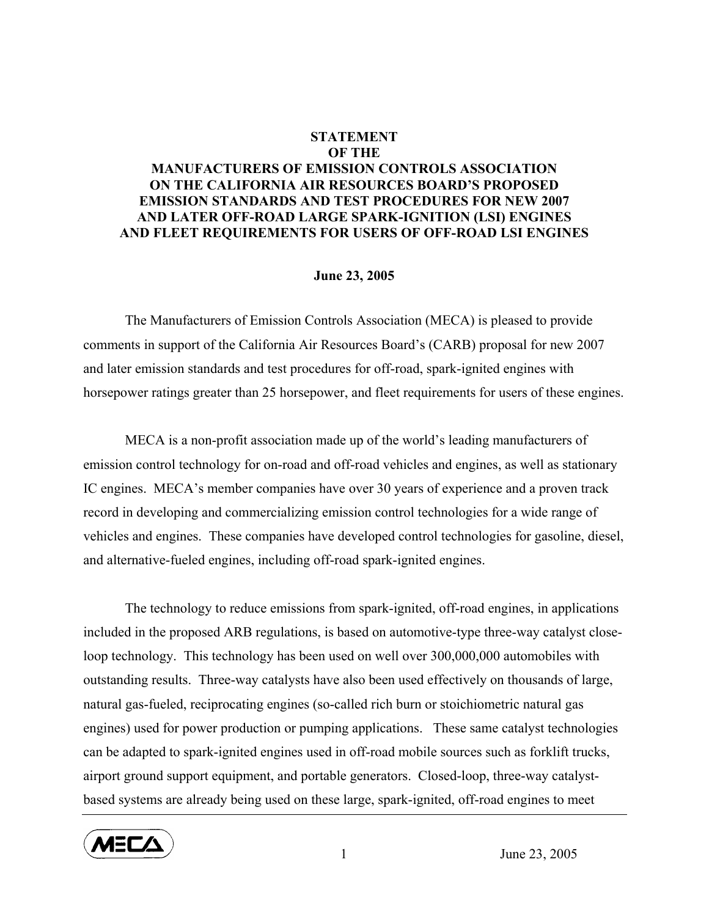## **STATEMENT OF THE MANUFACTURERS OF EMISSION CONTROLS ASSOCIATION ON THE CALIFORNIA AIR RESOURCES BOARD'S PROPOSED EMISSION STANDARDS AND TEST PROCEDURES FOR NEW 2007 AND LATER OFF-ROAD LARGE SPARK-IGNITION (LSI) ENGINES AND FLEET REQUIREMENTS FOR USERS OF OFF-ROAD LSI ENGINES**

## **June 23, 2005**

 The Manufacturers of Emission Controls Association (MECA) is pleased to provide comments in support of the California Air Resources Board's (CARB) proposal for new 2007 and later emission standards and test procedures for off-road, spark-ignited engines with horsepower ratings greater than 25 horsepower, and fleet requirements for users of these engines.

MECA is a non-profit association made up of the world's leading manufacturers of emission control technology for on-road and off-road vehicles and engines, as well as stationary IC engines. MECA's member companies have over 30 years of experience and a proven track record in developing and commercializing emission control technologies for a wide range of vehicles and engines. These companies have developed control technologies for gasoline, diesel, and alternative-fueled engines, including off-road spark-ignited engines.

The technology to reduce emissions from spark-ignited, off-road engines, in applications included in the proposed ARB regulations, is based on automotive-type three-way catalyst closeloop technology. This technology has been used on well over 300,000,000 automobiles with outstanding results. Three-way catalysts have also been used effectively on thousands of large, natural gas-fueled, reciprocating engines (so-called rich burn or stoichiometric natural gas engines) used for power production or pumping applications. These same catalyst technologies can be adapted to spark-ignited engines used in off-road mobile sources such as forklift trucks, airport ground support equipment, and portable generators. Closed-loop, three-way catalystbased systems are already being used on these large, spark-ignited, off-road engines to meet



1 June 23, 2005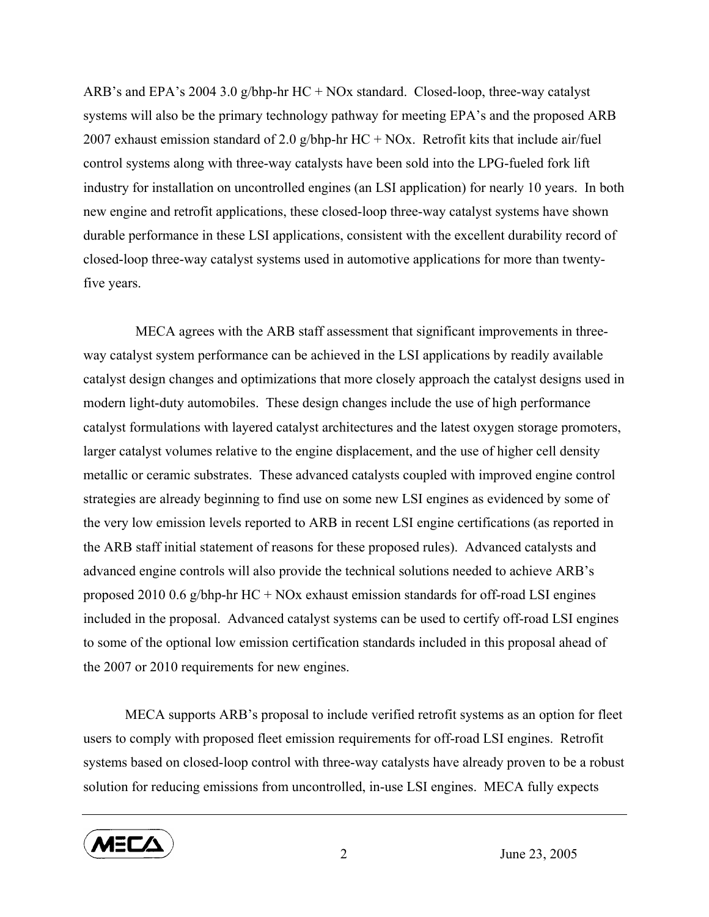ARB's and EPA's 2004 3.0 g/bhp-hr HC + NOx standard. Closed-loop, three-way catalyst systems will also be the primary technology pathway for meeting EPA's and the proposed ARB 2007 exhaust emission standard of 2.0 g/bhp-hr HC + NOx. Retrofit kits that include air/fuel control systems along with three-way catalysts have been sold into the LPG-fueled fork lift industry for installation on uncontrolled engines (an LSI application) for nearly 10 years. In both new engine and retrofit applications, these closed-loop three-way catalyst systems have shown durable performance in these LSI applications, consistent with the excellent durability record of closed-loop three-way catalyst systems used in automotive applications for more than twentyfive years.

 MECA agrees with the ARB staff assessment that significant improvements in threeway catalyst system performance can be achieved in the LSI applications by readily available catalyst design changes and optimizations that more closely approach the catalyst designs used in modern light-duty automobiles. These design changes include the use of high performance catalyst formulations with layered catalyst architectures and the latest oxygen storage promoters, larger catalyst volumes relative to the engine displacement, and the use of higher cell density metallic or ceramic substrates. These advanced catalysts coupled with improved engine control strategies are already beginning to find use on some new LSI engines as evidenced by some of the very low emission levels reported to ARB in recent LSI engine certifications (as reported in the ARB staff initial statement of reasons for these proposed rules). Advanced catalysts and advanced engine controls will also provide the technical solutions needed to achieve ARB's proposed 2010 0.6 g/bhp-hr HC + NOx exhaust emission standards for off-road LSI engines included in the proposal. Advanced catalyst systems can be used to certify off-road LSI engines to some of the optional low emission certification standards included in this proposal ahead of the 2007 or 2010 requirements for new engines.

MECA supports ARB's proposal to include verified retrofit systems as an option for fleet users to comply with proposed fleet emission requirements for off-road LSI engines. Retrofit systems based on closed-loop control with three-way catalysts have already proven to be a robust solution for reducing emissions from uncontrolled, in-use LSI engines. MECA fully expects